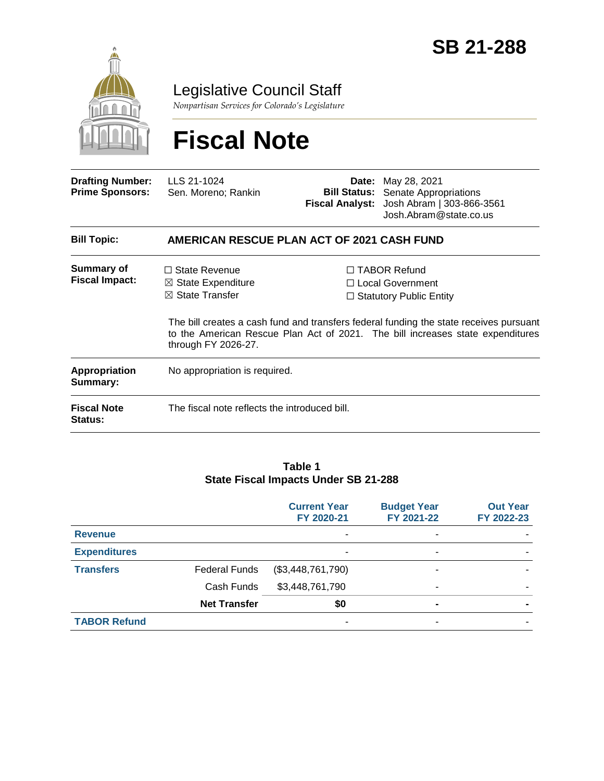

**Status:**

Legislative Council Staff

*Nonpartisan Services for Colorado's Legislature*

# **Fiscal Note**

| <b>Drafting Number:</b><br><b>Prime Sponsors:</b> | LLS 21-1024<br>Sen. Moreno; Rankin                                                                    | Date:<br><b>Fiscal Analyst:</b> | May 28, 2021<br><b>Bill Status:</b> Senate Appropriations<br>Josh Abram   303-866-3561<br>Josh.Abram@state.co.us                                                           |  |  |
|---------------------------------------------------|-------------------------------------------------------------------------------------------------------|---------------------------------|----------------------------------------------------------------------------------------------------------------------------------------------------------------------------|--|--|
| <b>Bill Topic:</b>                                | AMERICAN RESCUE PLAN ACT OF 2021 CASH FUND                                                            |                                 |                                                                                                                                                                            |  |  |
| Summary of<br><b>Fiscal Impact:</b>               | $\Box$ State Revenue<br>$\boxtimes$ State Expenditure<br>$\boxtimes$ State Transfer                   |                                 | $\Box$ TABOR Refund<br>$\Box$ Local Government<br>$\Box$ Statutory Public Entity<br>The bill creates a cash fund and transfers federal funding the state receives pursuant |  |  |
|                                                   | to the American Rescue Plan Act of 2021. The bill increases state expenditures<br>through FY 2026-27. |                                 |                                                                                                                                                                            |  |  |
| <b>Appropriation</b><br>Summary:                  | No appropriation is required.                                                                         |                                 |                                                                                                                                                                            |  |  |
| <b>Fiscal Note</b>                                | The fiscal note reflects the introduced bill.                                                         |                                 |                                                                                                                                                                            |  |  |

#### **Table 1 State Fiscal Impacts Under SB 21-288**

|                     |                      | <b>Current Year</b><br>FY 2020-21 | <b>Budget Year</b><br>FY 2021-22 | <b>Out Year</b><br>FY 2022-23 |
|---------------------|----------------------|-----------------------------------|----------------------------------|-------------------------------|
| <b>Revenue</b>      |                      | $\overline{\phantom{a}}$          | -                                |                               |
| <b>Expenditures</b> |                      | ٠                                 | -                                |                               |
| <b>Transfers</b>    | <b>Federal Funds</b> | (\$3,448,761,790)                 |                                  |                               |
|                     | Cash Funds           | \$3,448,761,790                   | $\blacksquare$                   |                               |
|                     | <b>Net Transfer</b>  | \$0                               | $\blacksquare$                   |                               |
| <b>TABOR Refund</b> |                      | ۰                                 | -                                |                               |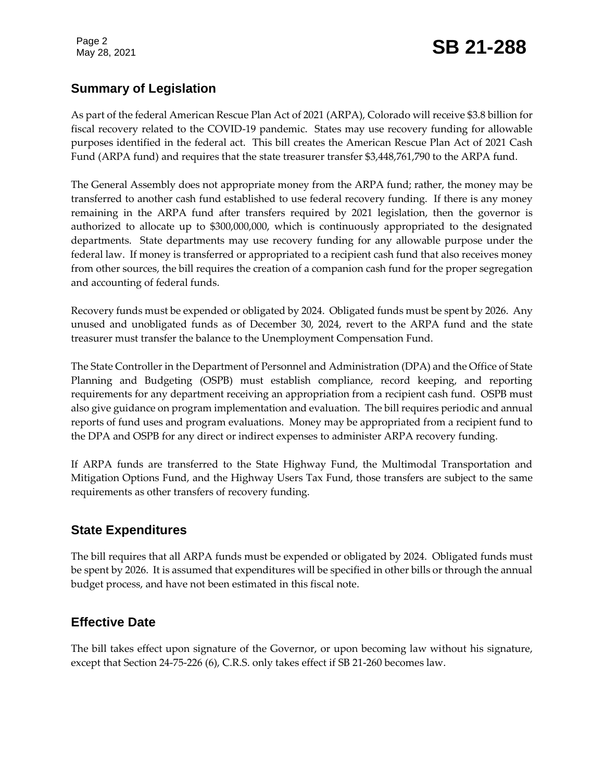# **Summary of Legislation**

As part of the federal American Rescue Plan Act of 2021 (ARPA), Colorado will receive \$3.8 billion for fiscal recovery related to the COVID-19 pandemic. States may use recovery funding for allowable purposes identified in the federal act. This bill creates the American Rescue Plan Act of 2021 Cash Fund (ARPA fund) and requires that the state treasurer transfer \$3,448,761,790 to the ARPA fund.

The General Assembly does not appropriate money from the ARPA fund; rather, the money may be transferred to another cash fund established to use federal recovery funding. If there is any money remaining in the ARPA fund after transfers required by 2021 legislation, then the governor is authorized to allocate up to \$300,000,000, which is continuously appropriated to the designated departments. State departments may use recovery funding for any allowable purpose under the federal law. If money is transferred or appropriated to a recipient cash fund that also receives money from other sources, the bill requires the creation of a companion cash fund for the proper segregation and accounting of federal funds.

Recovery funds must be expended or obligated by 2024. Obligated funds must be spent by 2026. Any unused and unobligated funds as of December 30, 2024, revert to the ARPA fund and the state treasurer must transfer the balance to the Unemployment Compensation Fund.

The State Controller in the Department of Personnel and Administration (DPA) and the Office of State Planning and Budgeting (OSPB) must establish compliance, record keeping, and reporting requirements for any department receiving an appropriation from a recipient cash fund. OSPB must also give guidance on program implementation and evaluation. The bill requires periodic and annual reports of fund uses and program evaluations. Money may be appropriated from a recipient fund to the DPA and OSPB for any direct or indirect expenses to administer ARPA recovery funding.

If ARPA funds are transferred to the State Highway Fund, the Multimodal Transportation and Mitigation Options Fund, and the Highway Users Tax Fund, those transfers are subject to the same requirements as other transfers of recovery funding.

#### **State Expenditures**

The bill requires that all ARPA funds must be expended or obligated by 2024. Obligated funds must be spent by 2026. It is assumed that expenditures will be specified in other bills or through the annual budget process, and have not been estimated in this fiscal note.

## **Effective Date**

The bill takes effect upon signature of the Governor, or upon becoming law without his signature, except that Section 24-75-226 (6), C.R.S. only takes effect if SB 21-260 becomes law.